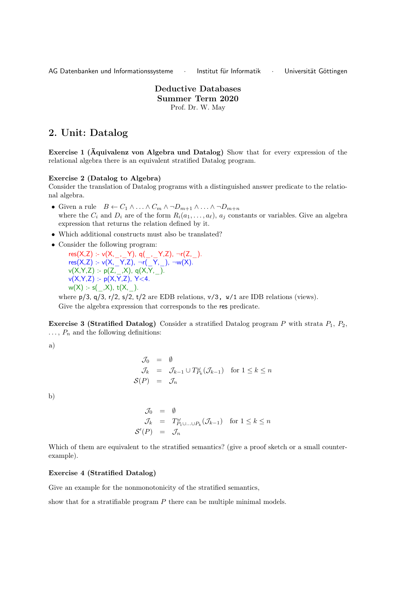AG Datenbanken und Informationssysteme · Institut für Informatik · Universität Göttingen

Deductive Databases Summer Term 2020 Prof. Dr. W. May

# 2. Unit: Datalog

Exercise 1 (Äquivalenz von Algebra und Datalog) Show that for every expression of the relational algebra there is an equivalent stratified Datalog program.

#### Exercise 2 (Datalog to Algebra)

Consider the translation of Datalog programs with a distinguished answer predicate to the relational algebra.

- Given a rule  $B \leftarrow C_1 \wedge \ldots \wedge C_m \wedge \neg D_{m+1} \wedge \ldots \wedge \neg D_{m+n}$ where the  $C_i$  and  $D_i$  are of the form  $R_i(a_1, \ldots, a_\ell)$ ,  $a_i$  constants or variables. Give an algebra expression that returns the relation defined by it.
- Which additional constructs must also be translated?
- Consider the following program:
	- $res(X,Z) := v(X, \_ , \_ Y), q(\_ , \_ Y, Z), \neg r(Z, \_ ).$ res(X,Z) :- v(X, \_Y,Z), ¬r( \_Y, \_), ¬w(X). v(X,Y,Z) :- p(Z,\_,X), q(X,Y,\_). v(X,Y,Z) :- p(X,Y,Z), Y<4.  $w(X) = s(\_,X), t(X,\_).$

where  $p/3$ ,  $q/3$ ,  $r/2$ ,  $s/2$ ,  $t/2$  are EDB relations,  $v/3$ ,  $w/1$  are IDB relations (views). Give the algebra expression that corresponds to the res predicate.

**Exercise 3 (Stratified Datalog)** Consider a stratified Datalog program P with strata  $P_1$ ,  $P_2$ ,  $\ldots$ ,  $P_n$  and the following definitions:

a)

$$
\begin{array}{rcl}\n\mathcal{J}_0 & = & \emptyset \\
\mathcal{J}_k & = & \mathcal{J}_{k-1} \cup T_{P_k}^{\omega}(\mathcal{J}_{k-1}) \quad \text{for } 1 \leq k \leq n \\
\mathcal{S}(P) & = & \mathcal{J}_n\n\end{array}
$$

b)

$$
\begin{array}{rcl}\n\mathcal{J}_0 & = & \emptyset \\
\mathcal{J}_k & = & T^{\omega}_{P_1 \cup \ldots \cup P_k}(\mathcal{J}_{k-1}) \quad \text{for } 1 \leq k \leq n \\
\mathcal{S}'(P) & = & \mathcal{J}_n\n\end{array}
$$

Which of them are equivalent to the stratified semantics? (give a proof sketch or a small counterexample).

## Exercise 4 (Stratified Datalog)

Give an example for the nonmonotonicity of the stratified semantics,

show that for a stratifiable program  $P$  there can be multiple minimal models.